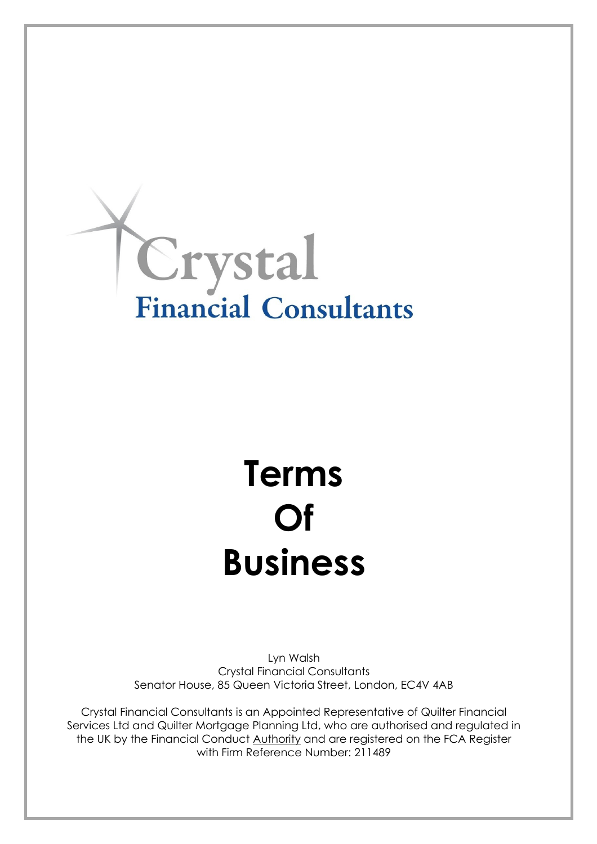

# **Terms Of Business**

Lyn Walsh Crystal Financial Consultants Senator House, 85 Queen Victoria Street, London, EC4V 4AB

Crystal Financial Consultants is an Appointed Representative of Quilter Financial Services Ltd and Quilter Mortgage Planning Ltd, who are authorised and regulated in the UK by the Financial Conduct Authority and are registered on the FCA Register with Firm Reference Number: 211489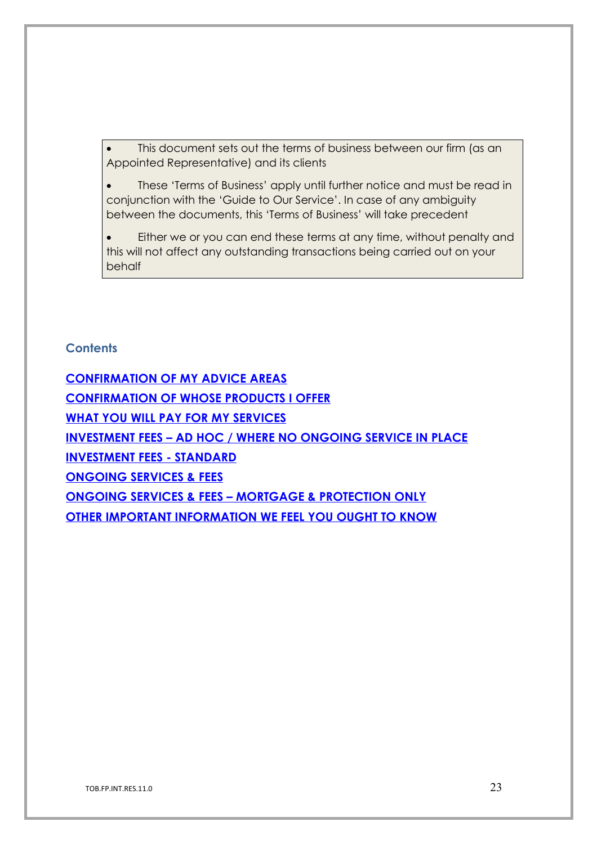This document sets out the terms of business between our firm (as an Appointed Representative) and its clients

• These 'Terms of Business' apply until further notice and must be read in conjunction with the 'Guide to Our Service'. In case of any ambiguity between the documents, this 'Terms of Business' will take precedent

 Either we or you can end these terms at any time, without penalty and this will not affect any outstanding transactions being carried out on your behalf

## **Contents**

<span id="page-1-6"></span><span id="page-1-5"></span><span id="page-1-4"></span><span id="page-1-3"></span><span id="page-1-2"></span><span id="page-1-1"></span><span id="page-1-0"></span> **[CONFIRMATION OF MY ADVICE AREAS](#page-1-0) [CONFIRMATION OF WHOSE PRODUCTS I OFFER](#page-1-6) [WHAT YOU WILL PAY FOR MY SERVICES](#page-1-5) [INVESTMENT FEES – AD HOC / WHERE NO ONGOING SERVICE IN PLACE](#page-6-0) [INVESTMENT FEES - STANDARD](#page-1-4)  [ONGOING SERVICES & FEES](#page-1-3) [ONGOING SERVICES & FEES – MORTGAGE & PROTECTION ONLY](#page-1-2) [OTHER IMPORTANT INFORMATION WE FEEL YOU OUGHT TO KNOW](#page-1-1)**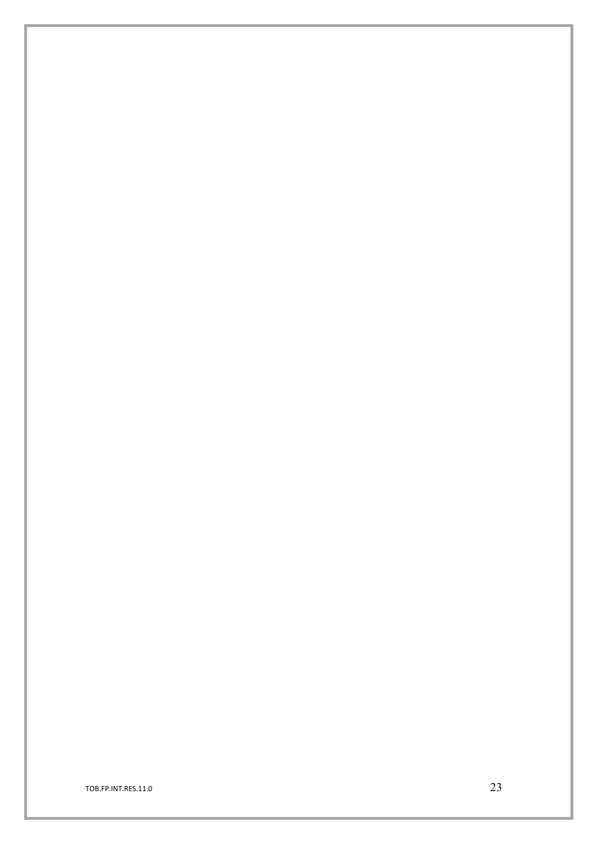TOB.FP.INT.RES.11.0 23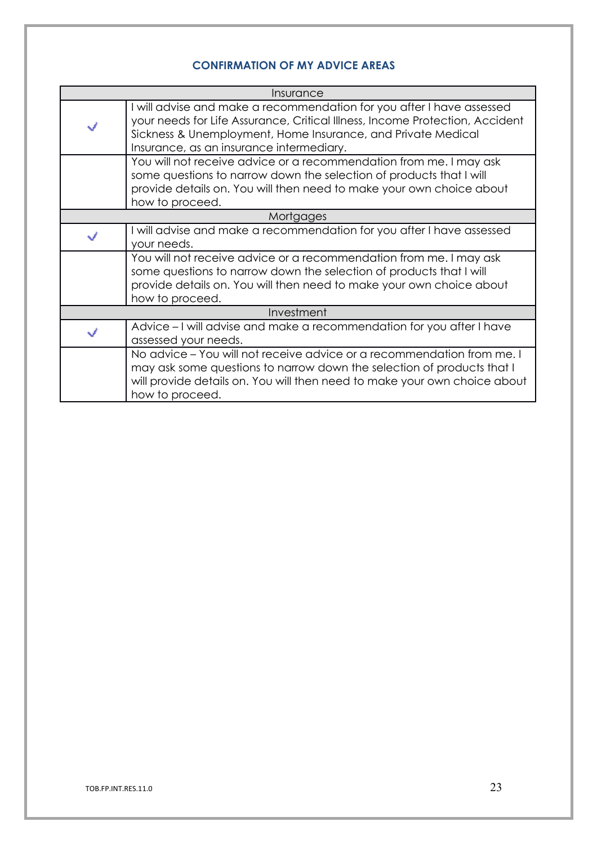# **CONFIRMATION OF MY ADVICE AREAS**

|           | Insurance                                                                                                                                                                                                                                                         |  |  |
|-----------|-------------------------------------------------------------------------------------------------------------------------------------------------------------------------------------------------------------------------------------------------------------------|--|--|
| W         | I will advise and make a recommendation for you after I have assessed<br>your needs for Life Assurance, Critical Illness, Income Protection, Accident<br>Sickness & Unemployment, Home Insurance, and Private Medical<br>Insurance, as an insurance intermediary. |  |  |
|           | You will not receive advice or a recommendation from me. I may ask<br>some questions to narrow down the selection of products that I will<br>provide details on. You will then need to make your own choice about<br>how to proceed.                              |  |  |
| Mortgages |                                                                                                                                                                                                                                                                   |  |  |
|           | I will advise and make a recommendation for you after I have assessed<br>your needs.                                                                                                                                                                              |  |  |
|           | You will not receive advice or a recommendation from me. I may ask<br>some questions to narrow down the selection of products that I will<br>provide details on. You will then need to make your own choice about<br>how to proceed.                              |  |  |
|           | Investment                                                                                                                                                                                                                                                        |  |  |
|           | Advice – I will advise and make a recommendation for you after I have<br>assessed your needs.                                                                                                                                                                     |  |  |
|           | No advice - You will not receive advice or a recommendation from me. I<br>may ask some questions to narrow down the selection of products that I<br>will provide details on. You will then need to make your own choice about<br>how to proceed.                  |  |  |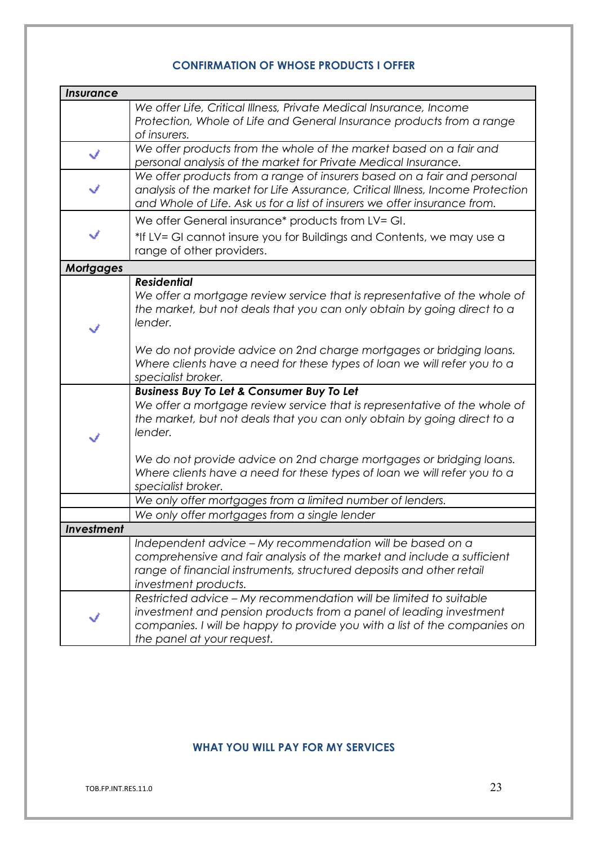## **CONFIRMATION OF WHOSE PRODUCTS I OFFER**

| <b>Insurance</b> |                                                                                                                                                                                                                                                    |  |
|------------------|----------------------------------------------------------------------------------------------------------------------------------------------------------------------------------------------------------------------------------------------------|--|
|                  | We offer Life, Critical Illness, Private Medical Insurance, Income<br>Protection, Whole of Life and General Insurance products from a range<br>of insurers.                                                                                        |  |
|                  | We offer products from the whole of the market based on a fair and<br>personal analysis of the market for Private Medical Insurance.                                                                                                               |  |
|                  | We offer products from a range of insurers based on a fair and personal<br>analysis of the market for Life Assurance, Critical Illness, Income Protection<br>and Whole of Life. Ask us for a list of insurers we offer insurance from.             |  |
|                  | We offer General insurance* products from LV= GI.                                                                                                                                                                                                  |  |
|                  | *If LV= GI cannot insure you for Buildings and Contents, we may use a<br>range of other providers.                                                                                                                                                 |  |
| <b>Mortgages</b> |                                                                                                                                                                                                                                                    |  |
|                  | <b>Residential</b><br>We offer a mortgage review service that is representative of the whole of<br>the market, but not deals that you can only obtain by going direct to a<br>lender.                                                              |  |
|                  | We do not provide advice on 2nd charge mortgages or bridging loans.<br>Where clients have a need for these types of loan we will refer you to a<br>specialist broker.                                                                              |  |
|                  | <b>Business Buy To Let &amp; Consumer Buy To Let</b>                                                                                                                                                                                               |  |
|                  | We offer a mortgage review service that is representative of the whole of<br>the market, but not deals that you can only obtain by going direct to a<br>lender.                                                                                    |  |
|                  | We do not provide advice on 2nd charge mortgages or bridging loans.<br>Where clients have a need for these types of loan we will refer you to a<br>specialist broker.                                                                              |  |
|                  | We only offer mortgages from a limited number of lenders.                                                                                                                                                                                          |  |
|                  | We only offer mortgages from a single lender                                                                                                                                                                                                       |  |
| Investment       |                                                                                                                                                                                                                                                    |  |
|                  | Independent advice - My recommendation will be based on a<br>comprehensive and fair analysis of the market and include a sufficient<br>range of financial instruments, structured deposits and other retail<br>investment products.                |  |
|                  | Restricted advice - My recommendation will be limited to suitable<br>investment and pension products from a panel of leading investment<br>companies. I will be happy to provide you with a list of the companies on<br>the panel at your request. |  |

## **WHAT YOU WILL PAY FOR MY SERVICES**

TOB.FP.INT.RES.11.0 23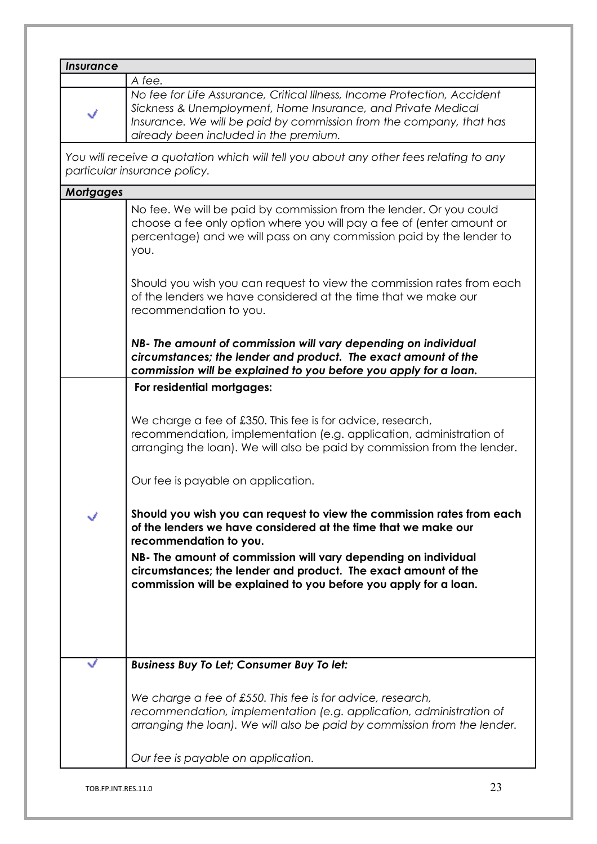| <i><b>Insurance</b></i> |                                                                                                                                                                                                                                                          |  |  |  |
|-------------------------|----------------------------------------------------------------------------------------------------------------------------------------------------------------------------------------------------------------------------------------------------------|--|--|--|
|                         | A fee.                                                                                                                                                                                                                                                   |  |  |  |
|                         | No fee for Life Assurance, Critical Illness, Income Protection, Accident<br>Sickness & Unemployment, Home Insurance, and Private Medical<br>Insurance. We will be paid by commission from the company, that has<br>already been included in the premium. |  |  |  |
|                         | You will receive a quotation which will tell you about any other fees relating to any<br>particular insurance policy.                                                                                                                                    |  |  |  |
| <b>Mortgages</b>        |                                                                                                                                                                                                                                                          |  |  |  |
|                         | No fee. We will be paid by commission from the lender. Or you could<br>choose a fee only option where you will pay a fee of (enter amount or<br>percentage) and we will pass on any commission paid by the lender to<br>you.                             |  |  |  |
|                         | Should you wish you can request to view the commission rates from each<br>of the lenders we have considered at the time that we make our<br>recommendation to you.                                                                                       |  |  |  |
|                         | NB- The amount of commission will vary depending on individual<br>circumstances; the lender and product. The exact amount of the<br>commission will be explained to you before you apply for a loan.                                                     |  |  |  |
|                         | For residential mortgages:                                                                                                                                                                                                                               |  |  |  |
|                         | We charge a fee of £350. This fee is for advice, research,<br>recommendation, implementation (e.g. application, administration of<br>arranging the loan). We will also be paid by commission from the lender.                                            |  |  |  |
|                         | Our fee is payable on application.                                                                                                                                                                                                                       |  |  |  |
|                         | Should you wish you can request to view the commission rates from each<br>of the lenders we have considered at the time that we make our<br>recommendation to you.                                                                                       |  |  |  |
|                         | NB- The amount of commission will vary depending on individual<br>circumstances; the lender and product. The exact amount of the<br>commission will be explained to you before you apply for a loan.                                                     |  |  |  |
|                         |                                                                                                                                                                                                                                                          |  |  |  |
|                         | <b>Business Buy To Let: Consumer Buy To let:</b>                                                                                                                                                                                                         |  |  |  |
|                         | We charge a fee of £550. This fee is for advice, research,<br>recommendation, implementation (e.g. application, administration of<br>arranging the loan). We will also be paid by commission from the lender.                                            |  |  |  |
|                         | Our fee is payable on application.                                                                                                                                                                                                                       |  |  |  |
|                         |                                                                                                                                                                                                                                                          |  |  |  |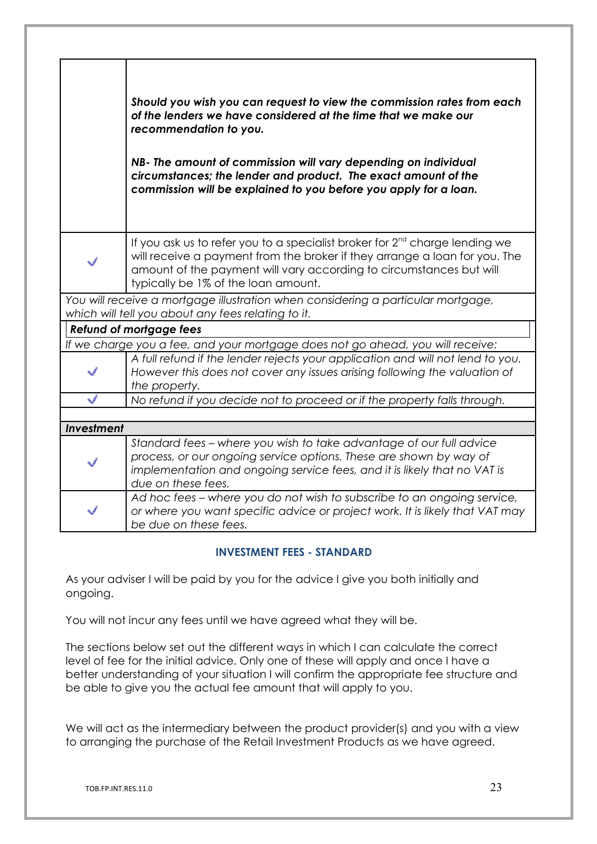|            | Should you wish you can request to view the commission rates from each<br>of the lenders we have considered at the time that we make our<br>recommendation to you.<br>NB- The amount of commission will vary depending on individual<br>circumstances; the lender and product. The exact amount of the<br>commission will be explained to you before you apply for a loan. |
|------------|----------------------------------------------------------------------------------------------------------------------------------------------------------------------------------------------------------------------------------------------------------------------------------------------------------------------------------------------------------------------------|
|            | If you ask us to refer you to a specialist broker for 2 <sup>nd</sup> charge lending we<br>will receive a payment from the broker if they arrange a loan for you. The<br>amount of the payment will vary according to circumstances but will<br>typically be 1% of the loan amount.                                                                                        |
|            | You will receive a mortgage illustration when considering a particular mortgage,<br>which will tell you about any fees relating to it.                                                                                                                                                                                                                                     |
|            | Refund of mortgage fees                                                                                                                                                                                                                                                                                                                                                    |
|            | If we charge you a fee, and your mortgage does not go ahead, you will receive:                                                                                                                                                                                                                                                                                             |
|            | A full refund if the lender rejects your application and will not lend to you.<br>However this does not cover any issues arising following the valuation of<br>the property.                                                                                                                                                                                               |
| s. F       | No refund if you decide not to proceed or if the property falls through.                                                                                                                                                                                                                                                                                                   |
|            |                                                                                                                                                                                                                                                                                                                                                                            |
| Investment |                                                                                                                                                                                                                                                                                                                                                                            |
|            | Standard fees - where you wish to take advantage of our full advice<br>process, or our ongoing service options. These are shown by way of<br>implementation and ongoing service fees, and it is likely that no VAT is<br>due on these fees.                                                                                                                                |
|            | Ad hoc fees - where you do not wish to subscribe to an ongoing service,<br>or where you want specific advice or project work. It is likely that VAT may<br>be due on these fees.                                                                                                                                                                                           |

## <span id="page-6-0"></span>**INVESTMENT FEES - STANDARD**

As your adviser I will be paid by you for the advice I give you both initially and ongoing.

You will not incur any fees until we have agreed what they will be.

The sections below set out the different ways in which I can calculate the correct level of fee for the initial advice. Only one of these will apply and once I have a better understanding of your situation I will confirm the appropriate fee structure and be able to give you the actual fee amount that will apply to you.

We will act as the intermediary between the product provider(s) and you with a view to arranging the purchase of the Retail Investment Products as we have agreed.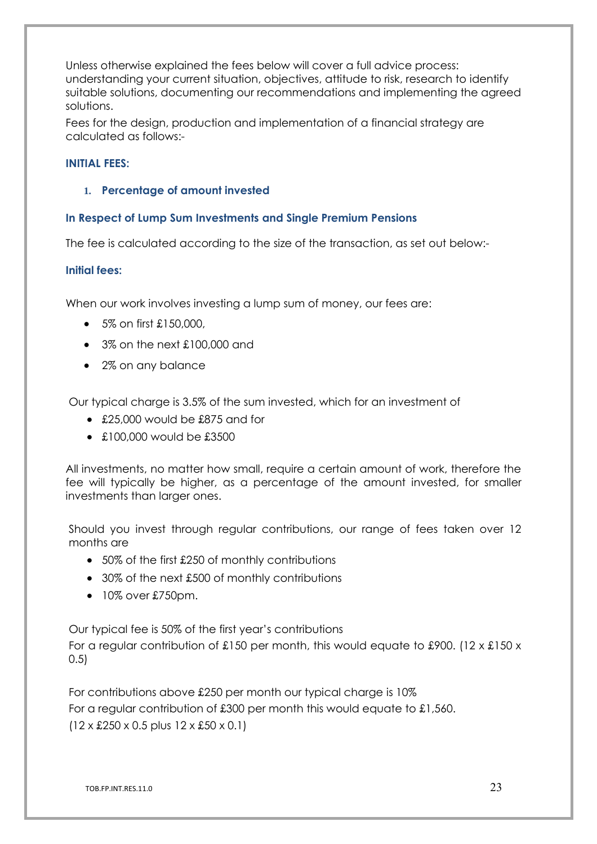Unless otherwise explained the fees below will cover a full advice process: understanding your current situation, objectives, attitude to risk, research to identify suitable solutions, documenting our recommendations and implementing the agreed solutions.

Fees for the design, production and implementation of a financial strategy are calculated as follows:-

### **INITIAL FEES:**

**1. Percentage of amount invested**

## **In Respect of Lump Sum Investments and Single Premium Pensions**

The fee is calculated according to the size of the transaction, as set out below:-

## **Initial fees:**

When our work involves investing a lump sum of money, our fees are:

- $\bullet$  5% on first £150,000.
- 3% on the next £100,000 and
- 2% on any balance

Our typical charge is 3.5% of the sum invested, which for an investment of

- £25,000 would be £875 and for
- $\bullet$  £100,000 would be £3500

All investments, no matter how small, require a certain amount of work, therefore the fee will typically be higher, as a percentage of the amount invested, for smaller investments than larger ones.

Should you invest through regular contributions, our range of fees taken over 12 months are

- 50% of the first £250 of monthly contributions
- 30% of the next £500 of monthly contributions
- $\bullet$  10% over £750pm.

Our typical fee is 50% of the first year's contributions

For a regular contribution of £150 per month, this would equate to £900. (12  $\times$  £150  $\times$ 0.5)

For contributions above £250 per month our typical charge is 10% For a regular contribution of £300 per month this would equate to £1,560. (12 x £250 x 0.5 plus 12 x £50 x 0.1)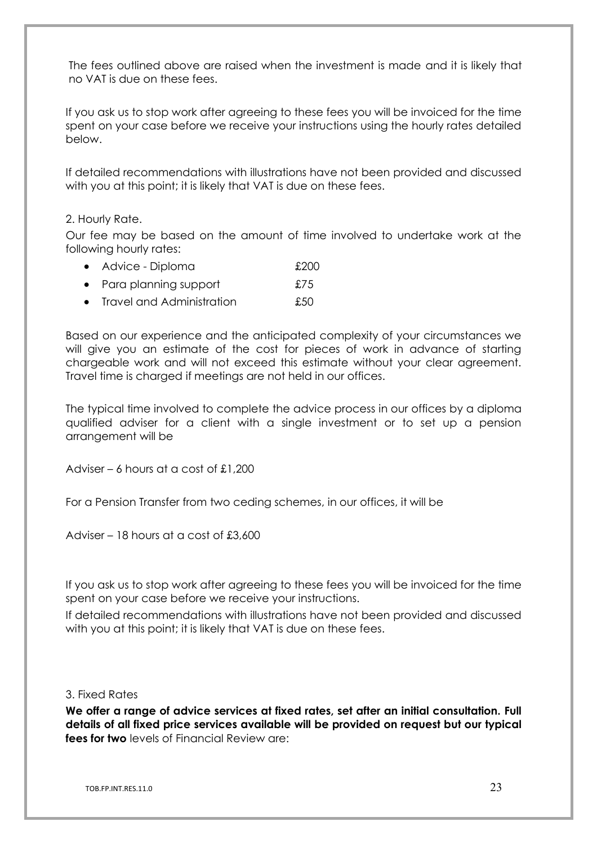The fees outlined above are raised when the investment is made and it is likely that no VAT is due on these fees.

If you ask us to stop work after agreeing to these fees you will be invoiced for the time spent on your case before we receive your instructions using the hourly rates detailed below.

If detailed recommendations with illustrations have not been provided and discussed with you at this point; it is likely that VAT is due on these fees.

2. Hourly Rate.

Our fee may be based on the amount of time involved to undertake work at the following hourly rates:

| • Advice - Diploma      | £200 |
|-------------------------|------|
| • Para planning support | £75  |

• Travel and Administration **£50** 

Based on our experience and the anticipated complexity of your circumstances we will give you an estimate of the cost for pieces of work in advance of starting chargeable work and will not exceed this estimate without your clear agreement. Travel time is charged if meetings are not held in our offices.

The typical time involved to complete the advice process in our offices by a diploma qualified adviser for a client with a single investment or to set up a pension arrangement will be

Adviser – 6 hours at a cost of £1,200

For a Pension Transfer from two ceding schemes, in our offices, it will be

Adviser – 18 hours at a cost of £3,600

If you ask us to stop work after agreeing to these fees you will be invoiced for the time spent on your case before we receive your instructions.

If detailed recommendations with illustrations have not been provided and discussed with you at this point; it is likely that VAT is due on these fees.

3. Fixed Rates

**We offer a range of advice services at fixed rates, set after an initial consultation. Full details of all fixed price services available will be provided on request but our typical fees for two** levels of Financial Review are: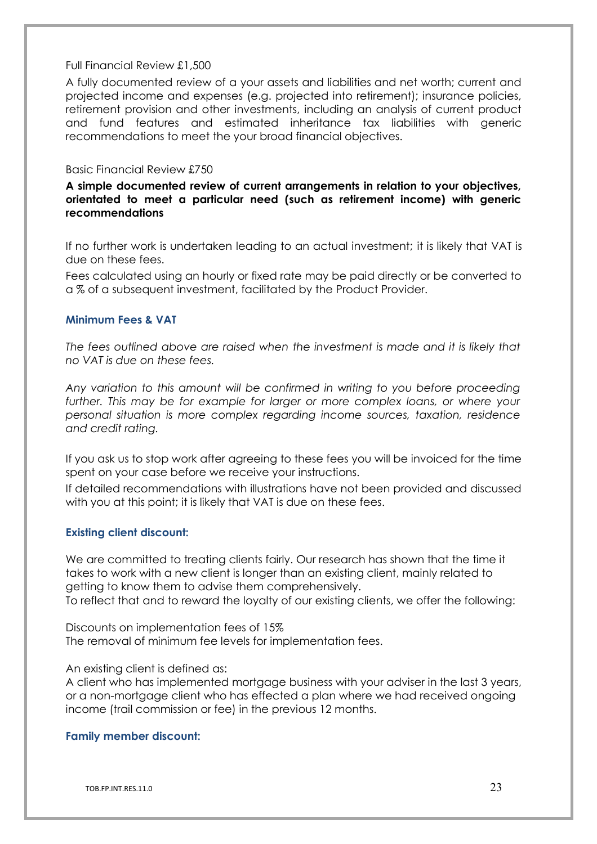#### Full Financial Review £1,500

A fully documented review of a your assets and liabilities and net worth; current and projected income and expenses (e.g. projected into retirement); insurance policies, retirement provision and other investments, including an analysis of current product and fund features and estimated inheritance tax liabilities with generic recommendations to meet the your broad financial objectives.

#### Basic Financial Review £750

**A simple documented review of current arrangements in relation to your objectives, orientated to meet a particular need (such as retirement income) with generic recommendations**

If no further work is undertaken leading to an actual investment; it is likely that VAT is due on these fees.

Fees calculated using an hourly or fixed rate may be paid directly or be converted to a % of a subsequent investment, facilitated by the Product Provider.

#### **Minimum Fees & VAT**

*The fees outlined above are raised when the investment is made and it is likely that no VAT is due on these fees.*

*Any variation to this amount will be confirmed in writing to you before proceeding further. This may be for example for larger or more complex loans, or where your personal situation is more complex regarding income sources, taxation, residence and credit rating.*

If you ask us to stop work after agreeing to these fees you will be invoiced for the time spent on your case before we receive your instructions.

If detailed recommendations with illustrations have not been provided and discussed with you at this point; it is likely that VAT is due on these fees.

#### **Existing client discount:**

We are committed to treating clients fairly. Our research has shown that the time it takes to work with a new client is longer than an existing client, mainly related to getting to know them to advise them comprehensively. To reflect that and to reward the loyalty of our existing clients, we offer the following:

Discounts on implementation fees of 15% The removal of minimum fee levels for implementation fees.

An existing client is defined as:

A client who has implemented mortgage business with your adviser in the last 3 years, or a non-mortgage client who has effected a plan where we had received ongoing income (trail commission or fee) in the previous 12 months.

#### **Family member discount:**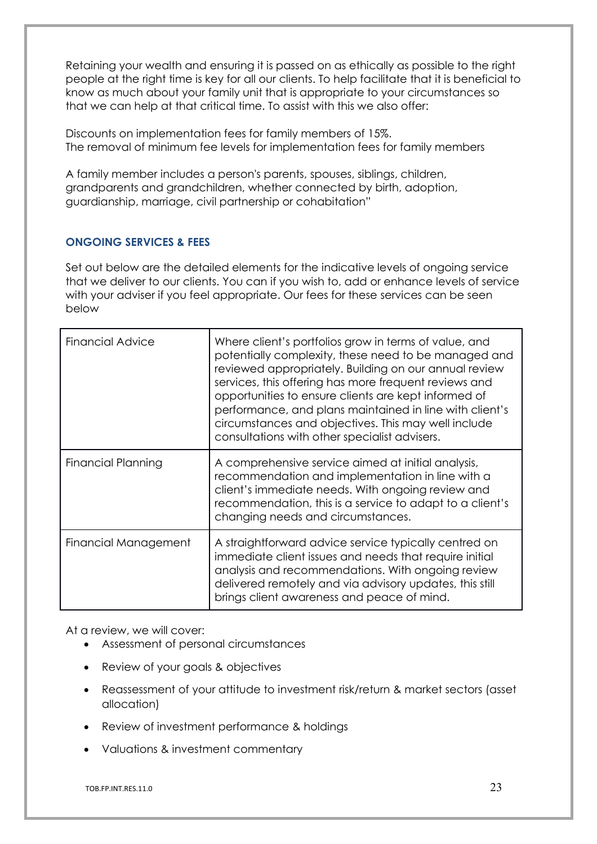Retaining your wealth and ensuring it is passed on as ethically as possible to the right people at the right time is key for all our clients. To help facilitate that it is beneficial to know as much about your family unit that is appropriate to your circumstances so that we can help at that critical time. To assist with this we also offer:

Discounts on implementation fees for family members of 15%. The removal of minimum fee levels for implementation fees for family members

A family member includes a person's parents, spouses, siblings, children, grandparents and grandchildren, whether connected by birth, adoption, guardianship, marriage, civil partnership or cohabitation"

## **ONGOING SERVICES & FEES**

Set out below are the detailed elements for the indicative levels of ongoing service that we deliver to our clients. You can if you wish to, add or enhance levels of service with your adviser if you feel appropriate. Our fees for these services can be seen below

| <b>Financial Advice</b> | Where client's portfolios grow in terms of value, and<br>potentially complexity, these need to be managed and<br>reviewed appropriately. Building on our annual review<br>services, this offering has more frequent reviews and<br>opportunities to ensure clients are kept informed of<br>performance, and plans maintained in line with client's<br>circumstances and objectives. This may well include<br>consultations with other specialist advisers. |
|-------------------------|------------------------------------------------------------------------------------------------------------------------------------------------------------------------------------------------------------------------------------------------------------------------------------------------------------------------------------------------------------------------------------------------------------------------------------------------------------|
| Financial Planning      | A comprehensive service aimed at initial analysis,<br>recommendation and implementation in line with a<br>client's immediate needs. With ongoing review and<br>recommendation, this is a service to adapt to a client's<br>changing needs and circumstances.                                                                                                                                                                                               |
| Financial Management    | A straightforward advice service typically centred on<br>immediate client issues and needs that require initial<br>analysis and recommendations. With ongoing review<br>delivered remotely and via advisory updates, this still<br>brings client awareness and peace of mind.                                                                                                                                                                              |

At a review, we will cover:

- Assessment of personal circumstances
- Review of your goals & objectives
- Reassessment of your attitude to investment risk/return & market sectors (asset allocation)
- Review of investment performance & holdings
- Valuations & investment commentary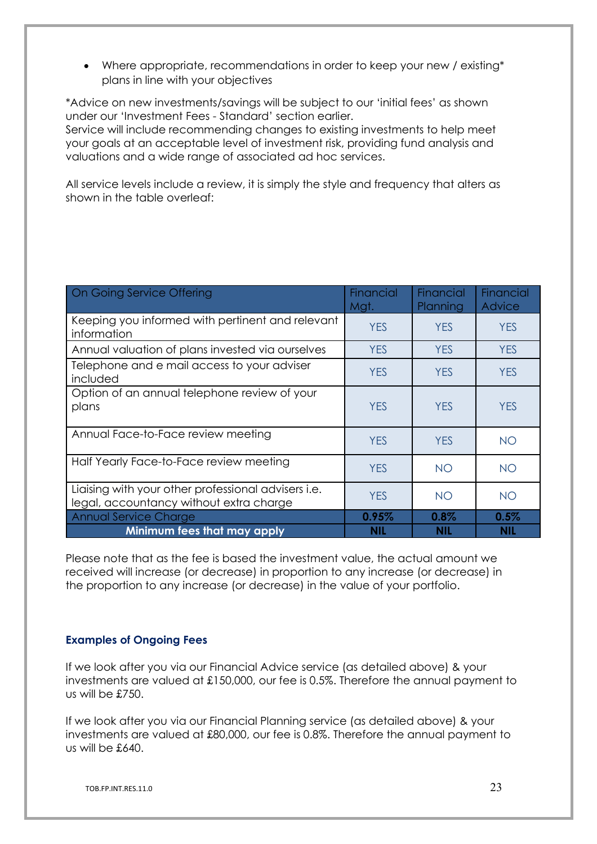Where appropriate, recommendations in order to keep your new / existing\* plans in line with your objectives

\*Advice on new investments/savings will be subject to our 'initial fees' as shown under our 'Investment Fees - Standard' section earlier.

Service will include recommending changes to existing investments to help meet your goals at an acceptable level of investment risk, providing fund analysis and valuations and a wide range of associated ad hoc services.

All service levels include a review, it is simply the style and frequency that alters as shown in the table overleaf:

| <b>On Going Service Offering</b>                                                               | <b>Financial</b><br>Mgt. | Financial<br>Planning | <b>Financial</b><br><b>Advice</b> |
|------------------------------------------------------------------------------------------------|--------------------------|-----------------------|-----------------------------------|
| Keeping you informed with pertinent and relevant<br>information                                | <b>YES</b>               | <b>YES</b>            | <b>YES</b>                        |
| Annual valuation of plans invested via ourselves                                               | <b>YES</b>               | <b>YES</b>            | <b>YES</b>                        |
| Telephone and e mail access to your adviser<br>included                                        | <b>YES</b>               | <b>YFS</b>            | <b>YES</b>                        |
| Option of an annual telephone review of your<br>plans                                          | <b>YES</b>               | <b>YES</b>            | <b>YES</b>                        |
| Annual Face-to-Face review meeting                                                             | <b>YES</b>               | <b>YES</b>            | <b>NO</b>                         |
| Half Yearly Face-to-Face review meeting                                                        | <b>YES</b>               | <b>NO</b>             | <b>NO</b>                         |
| Liaising with your other professional advisers i.e.<br>legal, accountancy without extra charge | <b>YES</b>               | <b>NO</b>             | <b>NO</b>                         |
| <b>Annual Service Charge</b>                                                                   | 0.95%                    | 0.8%                  | 0.5%                              |
| Minimum fees that may apply                                                                    | <b>NIL</b>               | NIL                   | <b>NIL</b>                        |

Please note that as the fee is based the investment value, the actual amount we received will increase (or decrease) in proportion to any increase (or decrease) in the proportion to any increase (or decrease) in the value of your portfolio.

#### **Examples of Ongoing Fees**

If we look after you via our Financial Advice service (as detailed above) & your investments are valued at £150,000, our fee is 0.5%. Therefore the annual payment to us will be £750.

If we look after you via our Financial Planning service (as detailed above) & your investments are valued at £80,000, our fee is 0.8%. Therefore the annual payment to us will be £640.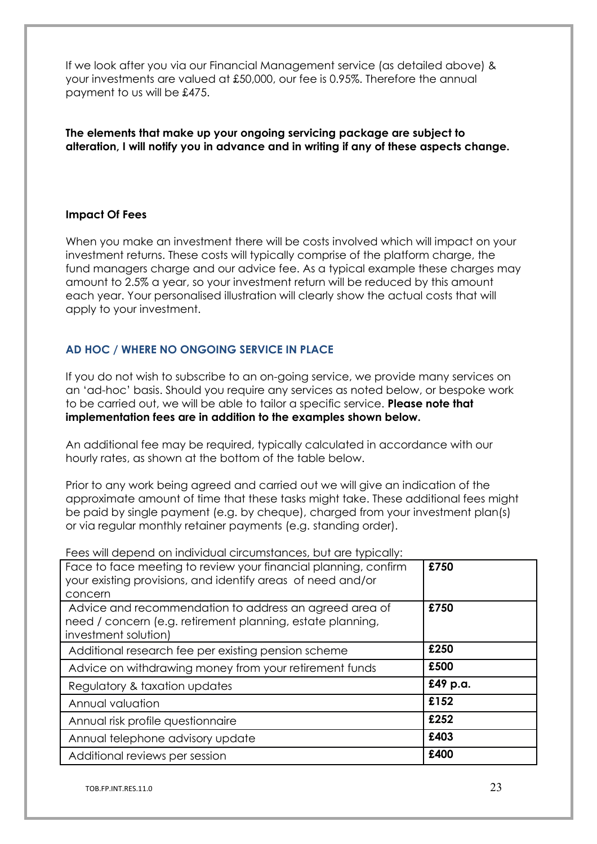If we look after you via our Financial Management service (as detailed above) & your investments are valued at £50,000, our fee is 0.95%. Therefore the annual payment to us will be £475.

**The elements that make up your ongoing servicing package are subject to alteration, I will notify you in advance and in writing if any of these aspects change.**

#### **Impact Of Fees**

When you make an investment there will be costs involved which will impact on your investment returns. These costs will typically comprise of the platform charge, the fund managers charge and our advice fee. As a typical example these charges may amount to 2.5% a year, so your investment return will be reduced by this amount each year. Your personalised illustration will clearly show the actual costs that will apply to your investment.

## **AD HOC / WHERE NO ONGOING SERVICE IN PLACE**

If you do not wish to subscribe to an on-going service, we provide many services on an 'ad-hoc' basis. Should you require any services as noted below, or bespoke work to be carried out, we will be able to tailor a specific service. **Please note that implementation fees are in addition to the examples shown below.**

An additional fee may be required, typically calculated in accordance with our hourly rates, as shown at the bottom of the table below.

Prior to any work being agreed and carried out we will give an indication of the approximate amount of time that these tasks might take. These additional fees might be paid by single payment (e.g. by cheque), charged from your investment plan(s) or via regular monthly retainer payments (e.g. standing order).

| Fees will depend on individual circumstances, but are typically: |          |
|------------------------------------------------------------------|----------|
| Face to face meeting to review your financial planning, confirm  | £750     |
| your existing provisions, and identify areas of need and/or      |          |
| concern                                                          |          |
| Advice and recommendation to address an agreed area of           | £750     |
| need / concern (e.g. retirement planning, estate planning,       |          |
| investment solution)                                             |          |
| Additional research fee per existing pension scheme              | £250     |
| Advice on withdrawing money from your retirement funds           | £500     |
| Regulatory & taxation updates                                    | £49 p.a. |
| Annual valuation                                                 | £152     |
| Annual risk profile questionnaire                                | £252     |
| Annual telephone advisory update                                 | £403     |
| Additional reviews per session                                   | £400     |

 $F_{\rm eff}$  depend on individual circumstr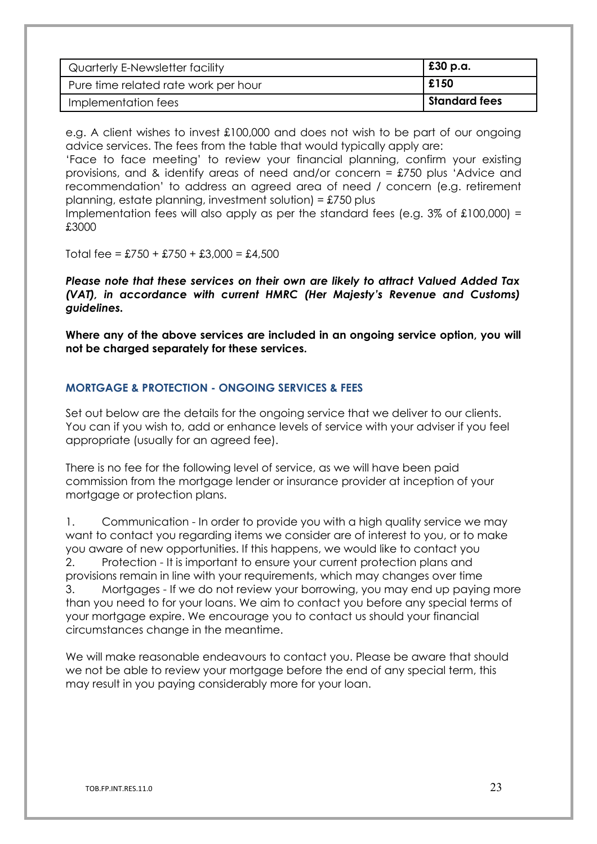| Quarterly E-Newsletter facility      | £30 p.a.      |
|--------------------------------------|---------------|
| Pure time related rate work per hour | £150          |
| Implementation fees                  | Standard fees |

e.g. A client wishes to invest £100,000 and does not wish to be part of our ongoing advice services. The fees from the table that would typically apply are:

'Face to face meeting' to review your financial planning, confirm your existing provisions, and & identify areas of need and/or concern = £750 plus 'Advice and recommendation' to address an agreed area of need / concern (e.g. retirement planning, estate planning, investment solution) = £750 plus

Implementation fees will also apply as per the standard fees (e.g.  $3\%$  of £100,000) = £3000

Total fee =  $£750 + £750 + £3,000 = £4,500$ 

*Please note that these services on their own are likely to attract Valued Added Tax (VAT), in accordance with current HMRC (Her Majesty's Revenue and Customs) guidelines.*

**Where any of the above services are included in an ongoing service option, you will not be charged separately for these services.**

## **MORTGAGE & PROTECTION - ONGOING SERVICES & FEES**

Set out below are the details for the ongoing service that we deliver to our clients. You can if you wish to, add or enhance levels of service with your adviser if you feel appropriate (usually for an agreed fee).

There is no fee for the following level of service, as we will have been paid commission from the mortgage lender or insurance provider at inception of your mortgage or protection plans.

1. Communication - In order to provide you with a high quality service we may want to contact you regarding items we consider are of interest to you, or to make you aware of new opportunities. If this happens, we would like to contact you 2. Protection - It is important to ensure your current protection plans and provisions remain in line with your requirements, which may changes over time 3. Mortgages - If we do not review your borrowing, you may end up paying more than you need to for your loans. We aim to contact you before any special terms of your mortgage expire. We encourage you to contact us should your financial circumstances change in the meantime.

We will make reasonable endeavours to contact you. Please be aware that should we not be able to review your mortgage before the end of any special term, this may result in you paying considerably more for your loan.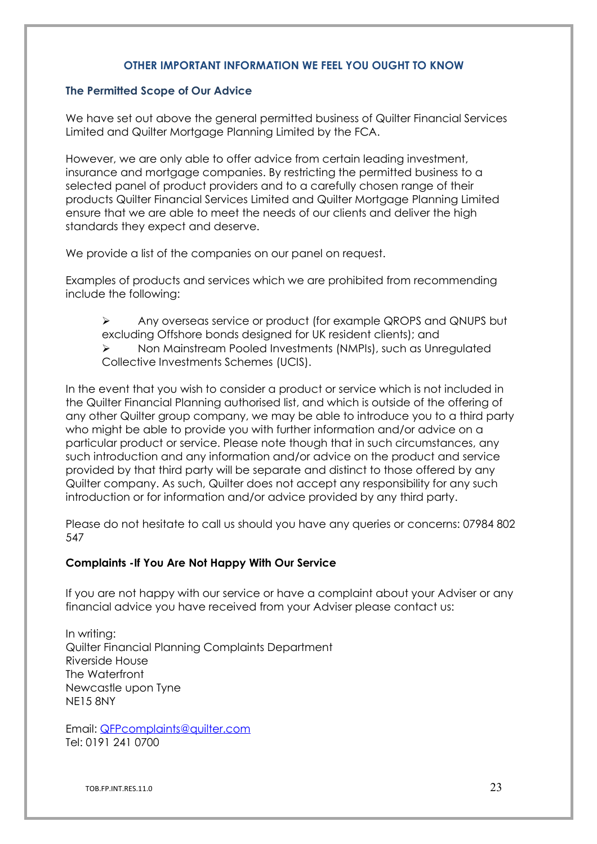## **OTHER IMPORTANT INFORMATION WE FEEL YOU OUGHT TO KNOW**

#### **The Permitted Scope of Our Advice**

We have set out above the general permitted business of Quilter Financial Services Limited and Quilter Mortgage Planning Limited by the FCA.

However, we are only able to offer advice from certain leading investment, insurance and mortgage companies. By restricting the permitted business to a selected panel of product providers and to a carefully chosen range of their products Quilter Financial Services Limited and Quilter Mortgage Planning Limited ensure that we are able to meet the needs of our clients and deliver the high standards they expect and deserve.

We provide a list of the companies on our panel on request.

Examples of products and services which we are prohibited from recommending include the following:

 Any overseas service or product (for example QROPS and QNUPS but excluding Offshore bonds designed for UK resident clients); and Non Mainstream Pooled Investments (NMPIs), such as Unregulated Collective Investments Schemes (UCIS).

In the event that you wish to consider a product or service which is not included in the Quilter Financial Planning authorised list, and which is outside of the offering of any other Quilter group company, we may be able to introduce you to a third party who might be able to provide you with further information and/or advice on a particular product or service. Please note though that in such circumstances, any such introduction and any information and/or advice on the product and service provided by that third party will be separate and distinct to those offered by any Quilter company. As such, Quilter does not accept any responsibility for any such introduction or for information and/or advice provided by any third party.

Please do not hesitate to call us should you have any queries or concerns: 07984 802 547

#### **Complaints -If You Are Not Happy With Our Service**

If you are not happy with our service or have a complaint about your Adviser or any financial advice you have received from your Adviser please contact us:

In writing: Quilter Financial Planning Complaints Department Riverside House The Waterfront Newcastle upon Tyne NE15 8NY

Email: [QFPcomplaints@quilter.com](mailto:QFPcomplaints@quilter.com) Tel: 0191 241 0700

TOB.FP.INT.RES.11.0 23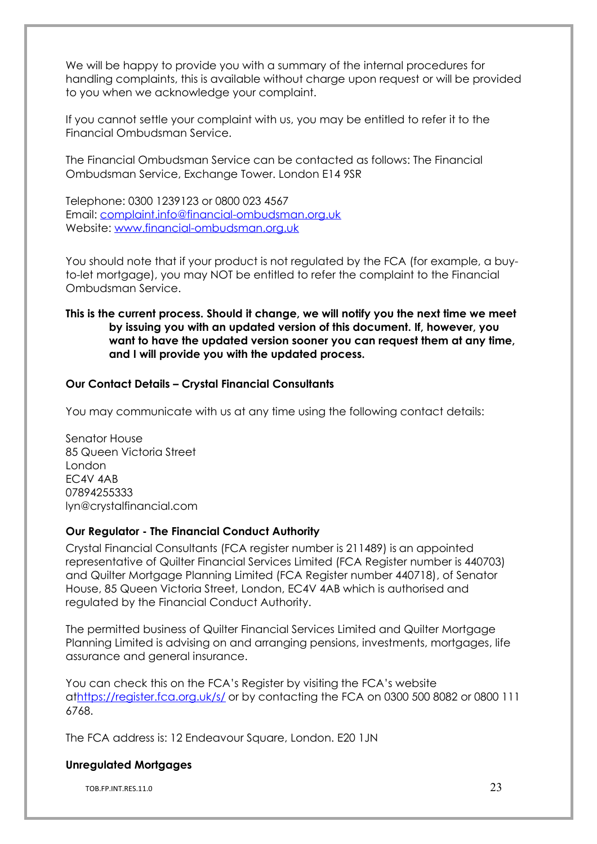We will be happy to provide you with a summary of the internal procedures for handling complaints, this is available without charge upon request or will be provided to you when we acknowledge your complaint.

If you cannot settle your complaint with us, you may be entitled to refer it to the Financial Ombudsman Service.

The Financial Ombudsman Service can be contacted as follows: The Financial Ombudsman Service, Exchange Tower. London E14 9SR

Telephone: 0300 1239123 or 0800 023 4567 Email: [complaint.info@financial-ombudsman.org.uk](mailto:complaint.info@financial-ombudsman.org.uk) Website: [www.financial-ombudsman.org.uk](http://www.financial-ombudsman.org.uk/)

You should note that if your product is not regulated by the FCA (for example, a buyto-let mortgage), you may NOT be entitled to refer the complaint to the Financial Ombudsman Service.

## **This is the current process. Should it change, we will notify you the next time we meet by issuing you with an updated version of this document. If, however, you want to have the updated version sooner you can request them at any time, and I will provide you with the updated process.**

## **Our Contact Details – Crystal Financial Consultants**

You may communicate with us at any time using the following contact details:

Senator House 85 Queen Victoria Street London EC4V 4AB 07894255333 lyn@crystalfinancial.com

#### **Our Regulator - The Financial Conduct Authority**

Crystal Financial Consultants (FCA register number is 211489) is an appointed representative of Quilter Financial Services Limited (FCA Register number is 440703) and Quilter Mortgage Planning Limited (FCA Register number 440718), of Senator House, 85 Queen Victoria Street, London, EC4V 4AB which is authorised and regulated by the Financial Conduct Authority.

The permitted business of Quilter Financial Services Limited and Quilter Mortgage Planning Limited is advising on and arranging pensions, investments, mortgages, life assurance and general insurance.

You can check this on the FCA's Register by visiting the FCA's website a[thttps://register.fca.org.uk/s/](https://register.fca.org.uk/s/) or by contacting the FCA on 0300 500 8082 or 0800 111 6768.

The FCA address is: 12 Endeavour Square, London. E20 1JN

#### **Unregulated Mortgages**

TOB.FP.INT.RES.11.0 23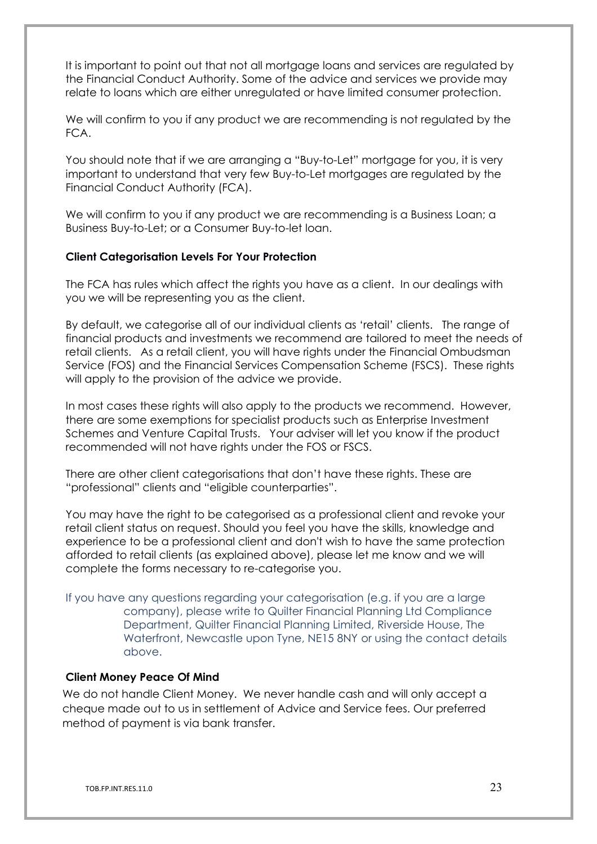It is important to point out that not all mortgage loans and services are regulated by the Financial Conduct Authority. Some of the advice and services we provide may relate to loans which are either unregulated or have limited consumer protection.

We will confirm to you if any product we are recommending is not regulated by the FCA.

You should note that if we are arranging a "Buy-to-Let" mortgage for you, it is very important to understand that very few Buy-to-Let mortgages are regulated by the Financial Conduct Authority (FCA).

We will confirm to you if any product we are recommending is a Business Loan; a Business Buy-to-Let; or a Consumer Buy-to-let loan.

#### **Client Categorisation Levels For Your Protection**

The FCA has rules which affect the rights you have as a client. In our dealings with you we will be representing you as the client.

By default, we categorise all of our individual clients as 'retail' clients. The range of financial products and investments we recommend are tailored to meet the needs of retail clients. As a retail client, you will have rights under the Financial Ombudsman Service (FOS) and the Financial Services Compensation Scheme (FSCS). These rights will apply to the provision of the advice we provide.

In most cases these rights will also apply to the products we recommend. However, there are some exemptions for specialist products such as Enterprise Investment Schemes and Venture Capital Trusts. Your adviser will let you know if the product recommended will not have rights under the FOS or FSCS.

There are other client categorisations that don't have these rights. These are "professional" clients and "eligible counterparties".

You may have the right to be categorised as a professional client and revoke your retail client status on request. Should you feel you have the skills, knowledge and experience to be a professional client and don't wish to have the same protection afforded to retail clients (as explained above), please let me know and we will complete the forms necessary to re-categorise you.

If you have any questions regarding your categorisation (e.g. if you are a large company), please write to Quilter Financial Planning Ltd Compliance Department, Quilter Financial Planning Limited, Riverside House, The Waterfront, Newcastle upon Tyne, NE15 8NY or using the contact details above.

#### **Client Money Peace Of Mind**

We do not handle Client Money. We never handle cash and will only accept a cheque made out to us in settlement of Advice and Service fees. Our preferred method of payment is via bank transfer.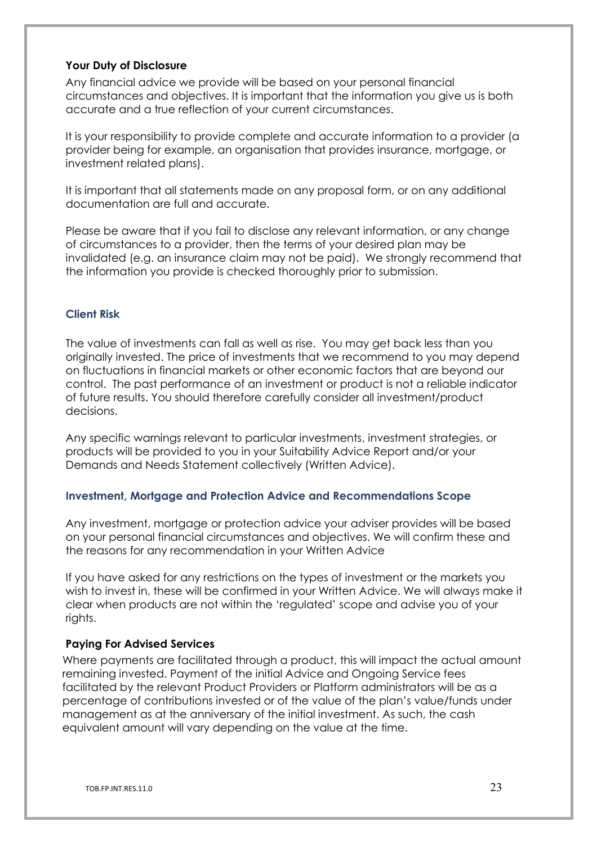#### **Your Duty of Disclosure**

Any financial advice we provide will be based on your personal financial circumstances and objectives. It is important that the information you give us is both accurate and a true reflection of your current circumstances.

It is your responsibility to provide complete and accurate information to a provider (a provider being for example, an organisation that provides insurance, mortgage, or investment related plans).

It is important that all statements made on any proposal form, or on any additional documentation are full and accurate.

Please be aware that if you fail to disclose any relevant information, or any change of circumstances to a provider, then the terms of your desired plan may be invalidated (e.g. an insurance claim may not be paid). We strongly recommend that the information you provide is checked thoroughly prior to submission.

#### **Client Risk**

The value of investments can fall as well as rise. You may get back less than you originally invested. The price of investments that we recommend to you may depend on fluctuations in financial markets or other economic factors that are beyond our control. The past performance of an investment or product is not a reliable indicator of future results. You should therefore carefully consider all investment/product decisions.

Any specific warnings relevant to particular investments, investment strategies, or products will be provided to you in your Suitability Advice Report and/or your Demands and Needs Statement collectively (Written Advice).

#### **Investment, Mortgage and Protection Advice and Recommendations Scope**

Any investment, mortgage or protection advice your adviser provides will be based on your personal financial circumstances and objectives. We will confirm these and the reasons for any recommendation in your Written Advice

If you have asked for any restrictions on the types of investment or the markets you wish to invest in, these will be confirmed in your Written Advice. We will always make it clear when products are not within the 'regulated' scope and advise you of your rights.

#### **Paying For Advised Services**

Where payments are facilitated through a product, this will impact the actual amount remaining invested. Payment of the initial Advice and Ongoing Service fees facilitated by the relevant Product Providers or Platform administrators will be as a percentage of contributions invested or of the value of the plan's value/funds under management as at the anniversary of the initial investment. As such, the cash equivalent amount will vary depending on the value at the time.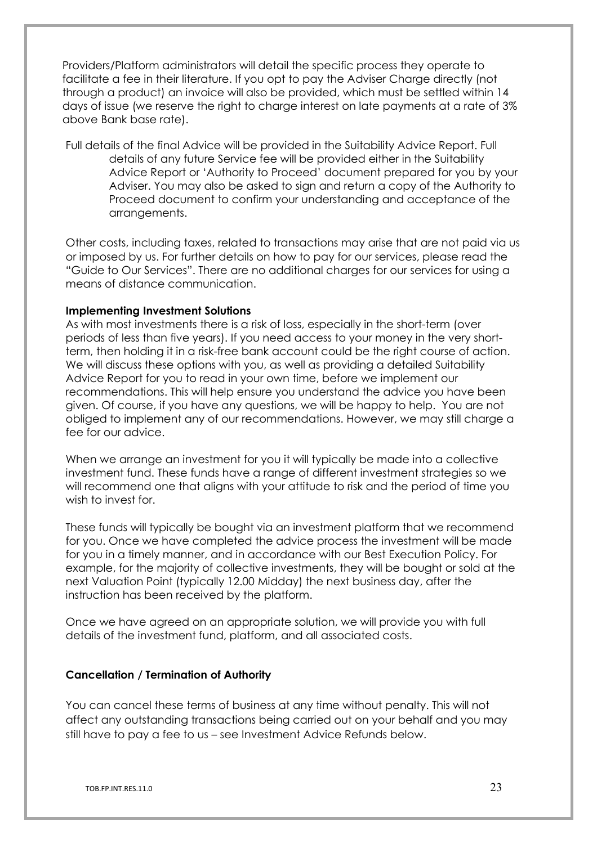Providers/Platform administrators will detail the specific process they operate to facilitate a fee in their literature. If you opt to pay the Adviser Charge directly (not through a product) an invoice will also be provided, which must be settled within 14 days of issue (we reserve the right to charge interest on late payments at a rate of 3% above Bank base rate).

Full details of the final Advice will be provided in the Suitability Advice Report. Full details of any future Service fee will be provided either in the Suitability Advice Report or 'Authority to Proceed' document prepared for you by your Adviser. You may also be asked to sign and return a copy of the Authority to Proceed document to confirm your understanding and acceptance of the arrangements.

Other costs, including taxes, related to transactions may arise that are not paid via us or imposed by us. For further details on how to pay for our services, please read the "Guide to Our Services". There are no additional charges for our services for using a means of distance communication.

#### **Implementing Investment Solutions**

As with most investments there is a risk of loss, especially in the short-term (over periods of less than five years). If you need access to your money in the very shortterm, then holding it in a risk-free bank account could be the right course of action. We will discuss these options with you, as well as providing a detailed Suitability Advice Report for you to read in your own time, before we implement our recommendations. This will help ensure you understand the advice you have been given. Of course, if you have any questions, we will be happy to help. You are not obliged to implement any of our recommendations. However, we may still charge a fee for our advice.

When we arrange an investment for you it will typically be made into a collective investment fund. These funds have a range of different investment strategies so we will recommend one that aligns with your attitude to risk and the period of time you wish to invest for.

These funds will typically be bought via an investment platform that we recommend for you. Once we have completed the advice process the investment will be made for you in a timely manner, and in accordance with our Best Execution Policy. For example, for the majority of collective investments, they will be bought or sold at the next Valuation Point (typically 12.00 Midday) the next business day, after the instruction has been received by the platform.

Once we have agreed on an appropriate solution, we will provide you with full details of the investment fund, platform, and all associated costs.

#### **Cancellation / Termination of Authority**

You can cancel these terms of business at any time without penalty. This will not affect any outstanding transactions being carried out on your behalf and you may still have to pay a fee to us – see Investment Advice Refunds below.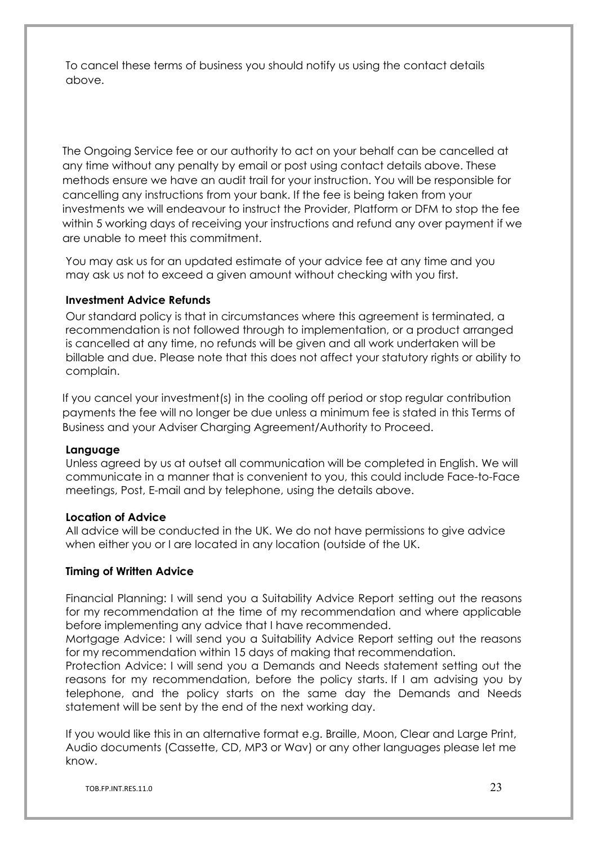To cancel these terms of business you should notify us using the contact details above.

The Ongoing Service fee or our authority to act on your behalf can be cancelled at any time without any penalty by email or post using contact details above. These methods ensure we have an audit trail for your instruction. You will be responsible for cancelling any instructions from your bank. If the fee is being taken from your investments we will endeavour to instruct the Provider, Platform or DFM to stop the fee within 5 working days of receiving your instructions and refund any over payment if we are unable to meet this commitment.

You may ask us for an updated estimate of your advice fee at any time and you may ask us not to exceed a given amount without checking with you first.

#### **Investment Advice Refunds**

Our standard policy is that in circumstances where this agreement is terminated, a recommendation is not followed through to implementation, or a product arranged is cancelled at any time, no refunds will be given and all work undertaken will be billable and due. Please note that this does not affect your statutory rights or ability to complain.

If you cancel your investment(s) in the cooling off period or stop regular contribution payments the fee will no longer be due unless a minimum fee is stated in this Terms of Business and your Adviser Charging Agreement/Authority to Proceed.

#### **Language**

Unless agreed by us at outset all communication will be completed in English. We will communicate in a manner that is convenient to you, this could include Face-to-Face meetings, Post, E-mail and by telephone, using the details above.

#### **Location of Advice**

All advice will be conducted in the UK. We do not have permissions to give advice when either you or I are located in any location (outside of the UK.

#### **Timing of Written Advice**

Financial Planning: I will send you a Suitability Advice Report setting out the reasons for my recommendation at the time of my recommendation and where applicable before implementing any advice that I have recommended.

Mortgage Advice: I will send you a Suitability Advice Report setting out the reasons for my recommendation within 15 days of making that recommendation.

Protection Advice: I will send you a Demands and Needs statement setting out the reasons for my recommendation, before the policy starts. If I am advising you by telephone, and the policy starts on the same day the Demands and Needs statement will be sent by the end of the next working day.

If you would like this in an alternative format e.g. Braille, Moon, Clear and Large Print, Audio documents (Cassette, CD, MP3 or Wav) or any other languages please let me know.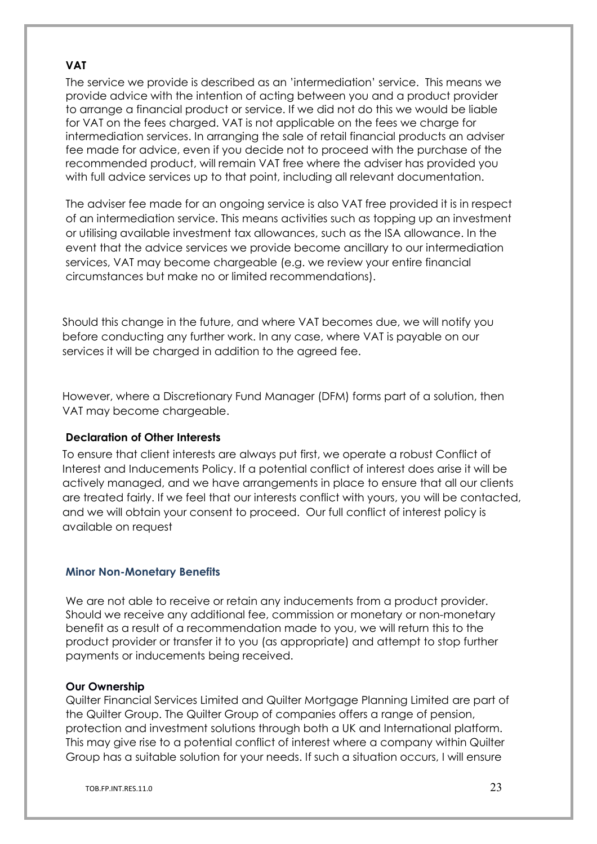## **VAT**

The service we provide is described as an 'intermediation' service. This means we provide advice with the intention of acting between you and a product provider to arrange a financial product or service. If we did not do this we would be liable for VAT on the fees charged. VAT is not applicable on the fees we charge for intermediation services. In arranging the sale of retail financial products an adviser fee made for advice, even if you decide not to proceed with the purchase of the recommended product, will remain VAT free where the adviser has provided you with full advice services up to that point, including all relevant documentation.

The adviser fee made for an ongoing service is also VAT free provided it is in respect of an intermediation service. This means activities such as topping up an investment or utilising available investment tax allowances, such as the ISA allowance. In the event that the advice services we provide become ancillary to our intermediation services, VAT may become chargeable (e.g. we review your entire financial circumstances but make no or limited recommendations).

Should this change in the future, and where VAT becomes due, we will notify you before conducting any further work. In any case, where VAT is payable on our services it will be charged in addition to the agreed fee.

However, where a Discretionary Fund Manager (DFM) forms part of a solution, then VAT may become chargeable.

### **Declaration of Other Interests**

To ensure that client interests are always put first, we operate a robust Conflict of Interest and Inducements Policy. If a potential conflict of interest does arise it will be actively managed, and we have arrangements in place to ensure that all our clients are treated fairly. If we feel that our interests conflict with yours, you will be contacted, and we will obtain your consent to proceed. Our full conflict of interest policy is available on request

#### **Minor Non-Monetary Benefits**

We are not able to receive or retain any inducements from a product provider. Should we receive any additional fee, commission or monetary or non-monetary benefit as a result of a recommendation made to you, we will return this to the product provider or transfer it to you (as appropriate) and attempt to stop further payments or inducements being received.

#### **Our Ownership**

Quilter Financial Services Limited and Quilter Mortgage Planning Limited are part of the Quilter Group. The Quilter Group of companies offers a range of pension, protection and investment solutions through both a UK and International platform. This may give rise to a potential conflict of interest where a company within Quilter Group has a suitable solution for your needs. If such a situation occurs, I will ensure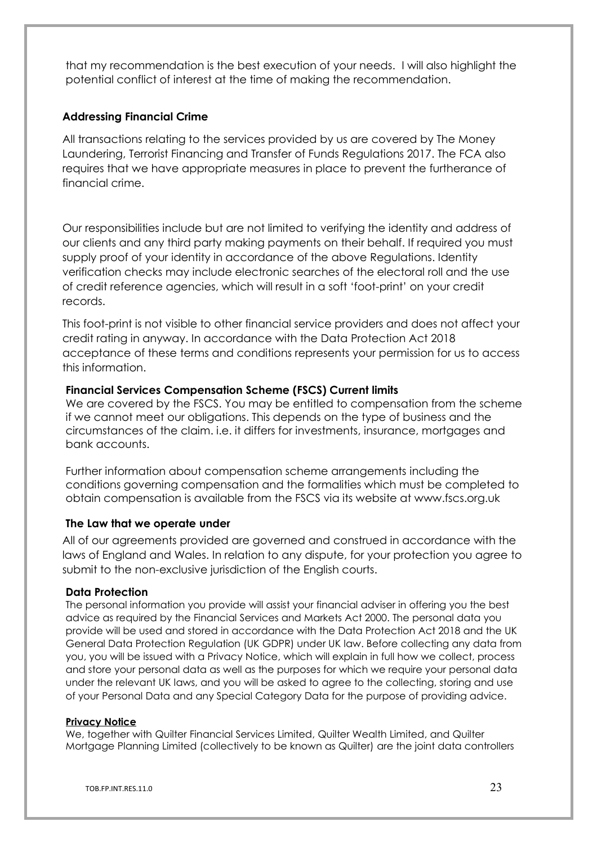that my recommendation is the best execution of your needs. I will also highlight the potential conflict of interest at the time of making the recommendation.

#### **Addressing Financial Crime**

All transactions relating to the services provided by us are covered by The Money Laundering, Terrorist Financing and Transfer of Funds Regulations 2017. The FCA also requires that we have appropriate measures in place to prevent the furtherance of financial crime.

Our responsibilities include but are not limited to verifying the identity and address of our clients and any third party making payments on their behalf. If required you must supply proof of your identity in accordance of the above Regulations. Identity verification checks may include electronic searches of the electoral roll and the use of credit reference agencies, which will result in a soft 'foot-print' on your credit records.

This foot-print is not visible to other financial service providers and does not affect your credit rating in anyway. In accordance with the Data Protection Act 2018 acceptance of these terms and conditions represents your permission for us to access this information.

#### **Financial Services Compensation Scheme (FSCS) Current limits**

We are covered by the FSCS. You may be entitled to compensation from the scheme if we cannot meet our obligations. This depends on the type of business and the circumstances of the claim. i.e. it differs for investments, insurance, mortgages and bank accounts.

Further information about compensation scheme arrangements including the conditions governing compensation and the formalities which must be completed to obtain compensation is available from the FSCS via its website at www.fscs.org.uk

#### **The Law that we operate under**

All of our agreements provided are governed and construed in accordance with the laws of England and Wales. In relation to any dispute, for your protection you agree to submit to the non-exclusive jurisdiction of the English courts.

#### **Data Protection**

The personal information you provide will assist your financial adviser in offering you the best advice as required by the Financial Services and Markets Act 2000. The personal data you provide will be used and stored in accordance with the Data Protection Act 2018 and the UK General Data Protection Regulation (UK GDPR) under UK law. Before collecting any data from you, you will be issued with a Privacy Notice, which will explain in full how we collect, process and store your personal data as well as the purposes for which we require your personal data under the relevant UK laws, and you will be asked to agree to the collecting, storing and use of your Personal Data and any Special Category Data for the purpose of providing advice.

#### **Privacy Notice**

We, together with Quilter Financial Services Limited, Quilter Wealth Limited, and Quilter Mortgage Planning Limited (collectively to be known as Quilter) are the joint data controllers